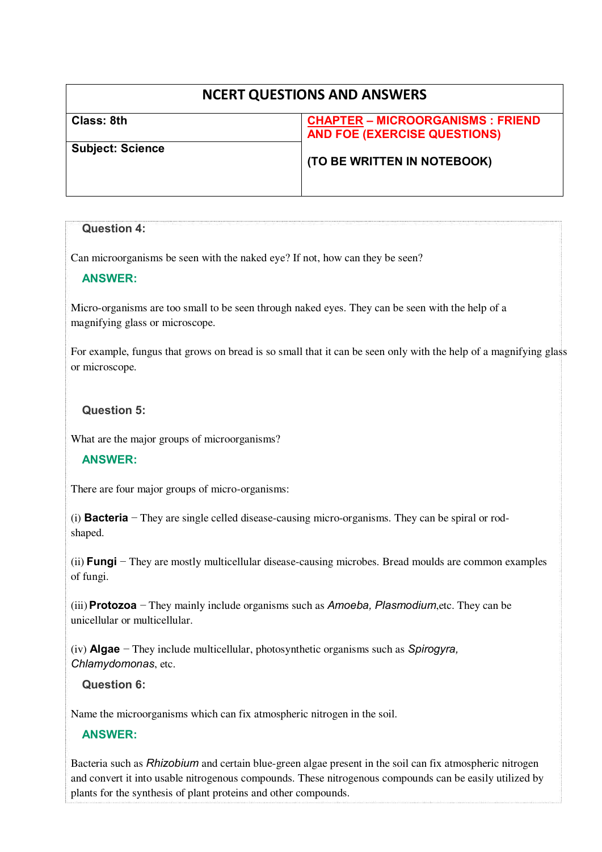# **NCERT QUESTIONS AND ANSWERS**

| Class: 8th              | <b>CHAPTER - MICROORGANISMS : FRIEND</b> |
|-------------------------|------------------------------------------|
|                         | <b>AND FOE (EXERCISE QUESTIONS)</b>      |
| <b>Subject: Science</b> |                                          |
|                         | (TO BE WRITTEN IN NOTEBOOK)              |
|                         |                                          |
|                         |                                          |

# **Question 4:**

Can microorganisms be seen with the naked eye? If not, how can they be seen?

### **ANSWER:**

Micro-organisms are too small to be seen through naked eyes. They can be seen with the help of a magnifying glass or microscope.

For example, fungus that grows on bread is so small that it can be seen only with the help of a magnifying glass or microscope.

### **Question 5:**

What are the major groups of microorganisms?

### **ANSWER:**

There are four major groups of micro-organisms:

(i) **Bacteria** − They are single celled disease-causing micro-organisms. They can be spiral or rodshaped.

(ii) **Fungi** − They are mostly multicellular disease-causing microbes. Bread moulds are common examples of fungi.

(iii)**Protozoa** − They mainly include organisms such as *Amoeba, Plasmodium*,etc. They can be unicellular or multicellular.

(iv) **Algae** − They include multicellular, photosynthetic organisms such as *Spirogyra, Chlamydomonas*, etc.

### **Question 6:**

Name the microorganisms which can fix atmospheric nitrogen in the soil.

### **ANSWER:**

Bacteria such as *Rhizobium* and certain blue-green algae present in the soil can fix atmospheric nitrogen and convert it into usable nitrogenous compounds. These nitrogenous compounds can be easily utilized by plants for the synthesis of plant proteins and other compounds.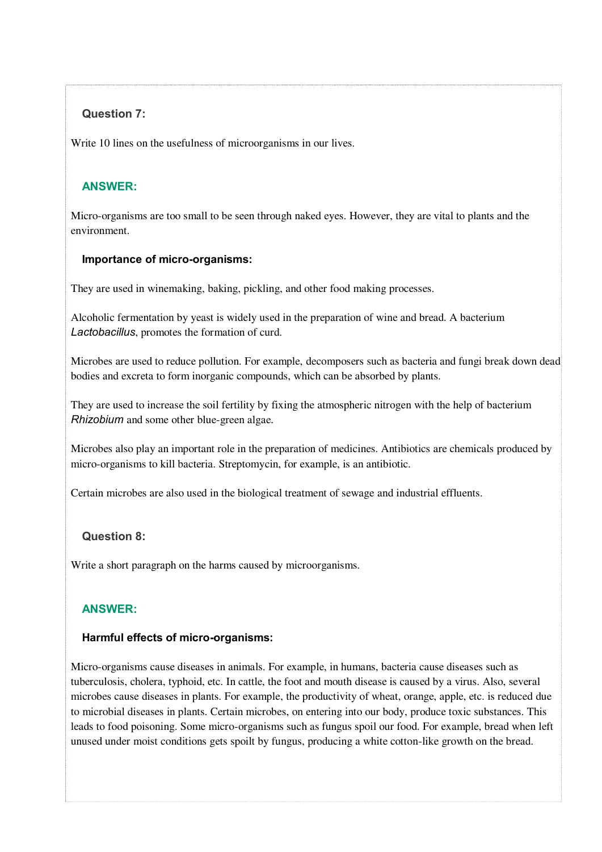# **Question 7:**

Write 10 lines on the usefulness of microorganisms in our lives.

## **ANSWER:**

Micro-organisms are too small to be seen through naked eyes. However, they are vital to plants and the environment.

### **Importance of micro-organisms:**

They are used in winemaking, baking, pickling, and other food making processes.

Alcoholic fermentation by yeast is widely used in the preparation of wine and bread. A bacterium *Lactobacillus*, promotes the formation of curd.

Microbes are used to reduce pollution. For example, decomposers such as bacteria and fungi break down dead bodies and excreta to form inorganic compounds, which can be absorbed by plants.

They are used to increase the soil fertility by fixing the atmospheric nitrogen with the help of bacterium *Rhizobium* and some other blue-green algae*.* 

Microbes also play an important role in the preparation of medicines. Antibiotics are chemicals produced by micro-organisms to kill bacteria. Streptomycin, for example, is an antibiotic.

Certain microbes are also used in the biological treatment of sewage and industrial effluents.

### **Question 8:**

Write a short paragraph on the harms caused by microorganisms.

### **ANSWER:**

### **Harmful effects of micro-organisms:**

Micro-organisms cause diseases in animals. For example, in humans, bacteria cause diseases such as tuberculosis, cholera, typhoid, etc. In cattle, the foot and mouth disease is caused by a virus. Also, several microbes cause diseases in plants. For example, the productivity of wheat, orange, apple, etc. is reduced due to microbial diseases in plants. Certain microbes, on entering into our body, produce toxic substances. This leads to food poisoning. Some micro-organisms such as fungus spoil our food. For example, bread when left unused under moist conditions gets spoilt by fungus, producing a white cotton-like growth on the bread.